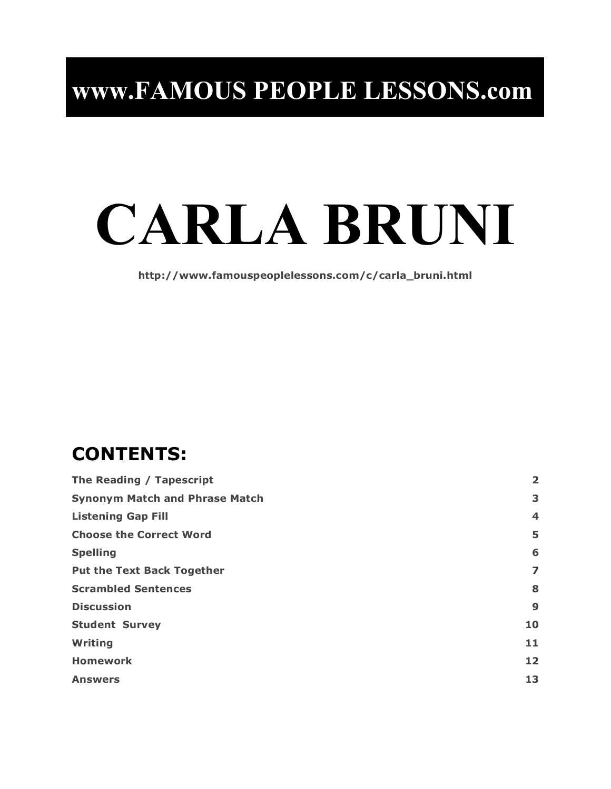# **CARLA BRUNI**

**http://www.famouspeoplelessons.com/c/carla\_bruni.html**

# **CONTENTS:**

| The Reading / Tapescript              |    |
|---------------------------------------|----|
| <b>Synonym Match and Phrase Match</b> | 3  |
| <b>Listening Gap Fill</b>             | 4  |
| <b>Choose the Correct Word</b>        | 5  |
| <b>Spelling</b>                       | 6  |
| <b>Put the Text Back Together</b>     | 7  |
| <b>Scrambled Sentences</b>            | 8  |
| <b>Discussion</b>                     | 9  |
| <b>Student Survey</b>                 | 10 |
| Writing                               | 11 |
| <b>Homework</b>                       | 12 |
| <b>Answers</b>                        | 13 |
|                                       |    |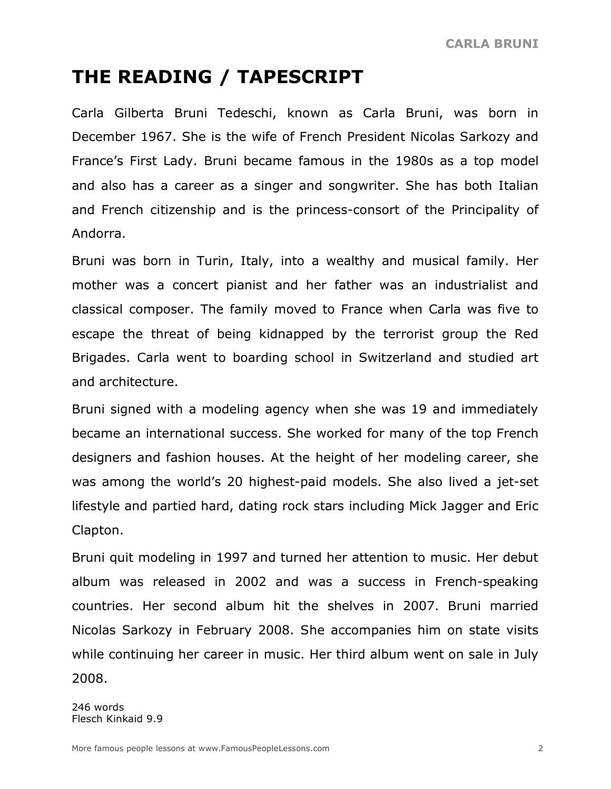## **THE READING / TAPESCRIPT**

Carla Gilberta Bruni Tedeschi, known as Carla Bruni, was born in December 1967. She is the wife of French President Nicolas Sarkozy and France's First Lady. Bruni became famous in the 1980s as a top model and also has a career as a singer and songwriter. She has both Italian and French citizenship and is the princess-consort of the Principality of Andorra.

Bruni was born in Turin, Italy, into a wealthy and musical family. Her mother was a concert pianist and her father was an industrialist and classical composer. The family moved to France when Carla was five to escape the threat of being kidnapped by the terrorist group the Red Brigades. Carla went to boarding school in Switzerland and studied art and architecture.

Bruni signed with a modeling agency when she was 19 and immediately became an international success. She worked for many of the top French designers and fashion houses. At the height of her modeling career, she was among the world's 20 highest-paid models. She also lived a jet-set lifestyle and partied hard, dating rock stars including Mick Jagger and Eric Clapton.

Bruni quit modeling in 1997 and turned her attention to music. Her debut album was released in 2002 and was a success in French-speaking countries. Her second album hit the shelves in 2007. Bruni married Nicolas Sarkozy in February 2008. She accompanies him on state visits while continuing her career in music. Her third album went on sale in July 2008.

246 words Flesch Kinkaid 9.9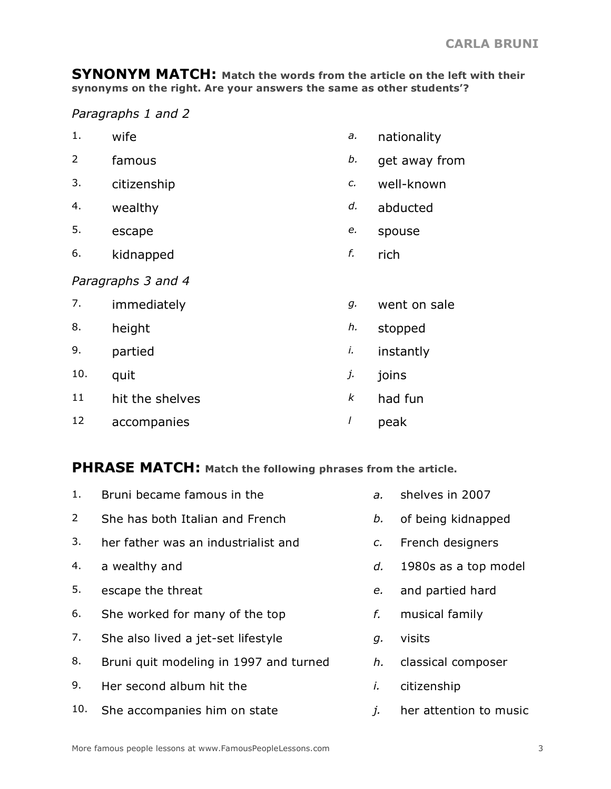**SYNONYM MATCH: Match the words from the article on the left with their synonyms on the right. Are your answers the same as other students'?**

*Paragraphs 1 and 2*

- 1. wife *a.* nationality
- 2 famous *b.* get away from
- 3. citizenship *c.* well-known
- 
- 
- 6. kidnapped *f.* rich
- 
- 
- 
- 4. wealthy *d.* abducted
- 5. escape *e.* spouse
- 

### *Paragraphs 3 and 4*

| 7.  | immediately     | g. | went on sale |
|-----|-----------------|----|--------------|
| 8.  | height          | h. | stopped      |
| 9.  | partied         | I. | instantly    |
| 10. | quit            | j. | joins        |
| 11  | hit the shelves | k  | had fun      |
| 12  | accompanies     |    | peak         |

## **PHRASE MATCH: Match the following phrases from the article.**

| 1.             | Bruni became famous in the             | $\partial$ .    | shelves in 2007        |
|----------------|----------------------------------------|-----------------|------------------------|
| $\overline{2}$ | She has both Italian and French        | b.              | of being kidnapped     |
| 3.             | her father was an industrialist and    | $\mathcal{C}$ . | French designers       |
| 4.             | a wealthy and                          | d.              | 1980s as a top model   |
| 5.             | escape the threat                      | e.              | and partied hard       |
| 6.             | She worked for many of the top         | f.              | musical family         |
| 7.             | She also lived a jet-set lifestyle     | g.              | visits                 |
| 8.             | Bruni quit modeling in 1997 and turned | h.              | classical composer     |
| 9.             | Her second album hit the               | i.              | citizenship            |
| 10.            | She accompanies him on state           | j.              | her attention to music |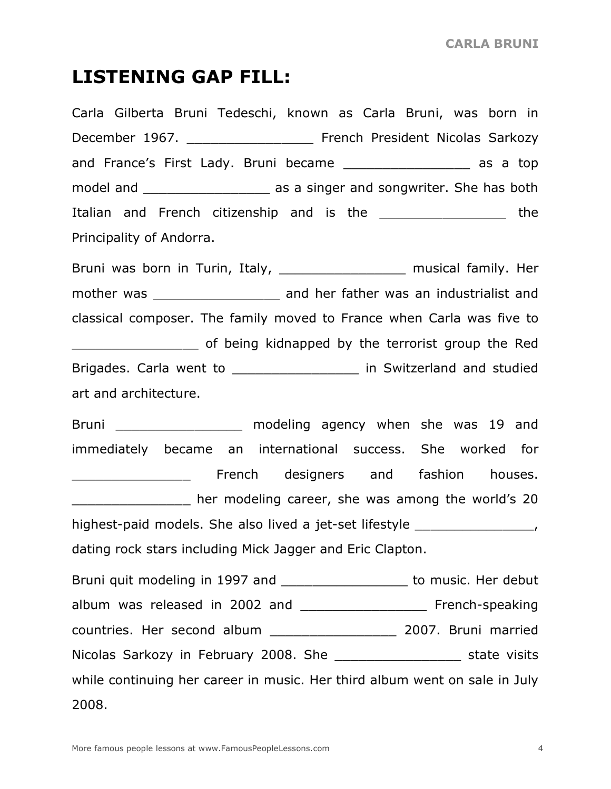## **LISTENING GAP FILL:**

Carla Gilberta Bruni Tedeschi, known as Carla Bruni, was born in December 1967. **Exercise Sarkozy** French President Nicolas Sarkozy and France's First Lady. Bruni became \_\_\_\_\_\_\_\_\_\_\_\_\_\_\_\_\_\_ as a top model and **EXALL EXALL** as a singer and songwriter. She has both Italian and French citizenship and is the \_\_\_\_\_\_\_\_\_\_\_\_\_\_\_\_\_\_\_\_\_ the Principality of Andorra.

Bruni was born in Turin, Italy, \_\_\_\_\_\_\_\_\_\_\_\_\_\_\_\_\_\_\_ musical family. Her mother was \_\_\_\_\_\_\_\_\_\_\_\_\_\_\_\_\_\_\_\_\_\_\_\_\_ and her father was an industrialist and classical composer. The family moved to France when Carla was five to \_\_\_\_\_\_\_\_\_\_\_\_\_\_\_\_ of being kidnapped by the terrorist group the Red Brigades. Carla went to \_\_\_\_\_\_\_\_\_\_\_\_\_\_\_\_\_\_\_ in Switzerland and studied art and architecture.

Bruni \_\_\_\_\_\_\_\_\_\_\_\_\_\_\_\_\_\_\_ modeling agency when she was 19 and immediately became an international success. She worked for extending the state of the state of the state of the French designers and fashion houses. **EXECUTE:** The modeling career, she was among the world's 20 highest-paid models. She also lived a jet-set lifestyle \_\_\_\_\_\_\_\_\_\_\_\_\_\_\_\_\_\_, dating rock stars including Mick Jagger and Eric Clapton.

Bruni quit modeling in 1997 and \_\_\_\_\_\_\_\_\_\_\_\_\_\_\_\_\_\_\_\_ to music. Her debut album was released in 2002 and \_\_\_\_\_\_\_\_\_\_\_\_\_\_\_\_\_\_\_\_\_\_\_\_\_ French-speaking countries. Her second album \_\_\_\_\_\_\_\_\_\_\_\_\_\_\_\_ 2007. Bruni married Nicolas Sarkozy in February 2008. She \_\_\_\_\_\_\_\_\_\_\_\_\_\_\_\_\_\_\_\_\_\_\_ state visits while continuing her career in music. Her third album went on sale in July 2008.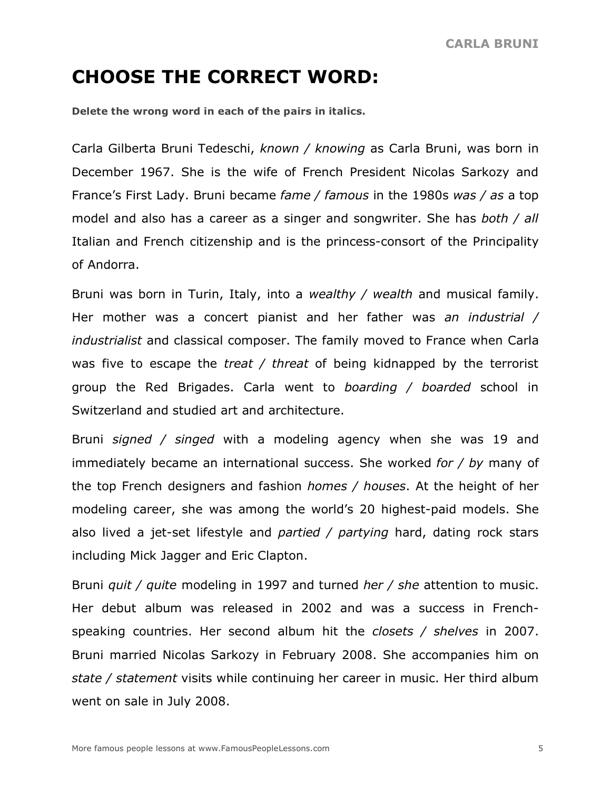## **CHOOSE THE CORRECT WORD:**

**Delete the wrong word in each of the pairs in italics.**

Carla Gilberta Bruni Tedeschi, *known / knowing* as Carla Bruni, was born in December 1967. She is the wife of French President Nicolas Sarkozy and France's First Lady. Bruni became *fame / famous* in the 1980s *was / as* a top model and also has a career as a singer and songwriter. She has *both / all* Italian and French citizenship and is the princess-consort of the Principality of Andorra.

Bruni was born in Turin, Italy, into a *wealthy / wealth* and musical family. Her mother was a concert pianist and her father was *an industrial / industrialist* and classical composer. The family moved to France when Carla was five to escape the *treat / threat* of being kidnapped by the terrorist group the Red Brigades. Carla went to *boarding / boarded* school in Switzerland and studied art and architecture.

Bruni *signed / singed* with a modeling agency when she was 19 and immediately became an international success. She worked *for / by* many of the top French designers and fashion *homes / houses*. At the height of her modeling career, she was among the world's 20 highest-paid models. She also lived a jet-set lifestyle and *partied / partying* hard, dating rock stars including Mick Jagger and Eric Clapton.

Bruni *quit / quite* modeling in 1997 and turned *her / she* attention to music. Her debut album was released in 2002 and was a success in Frenchspeaking countries. Her second album hit the *closets / shelves* in 2007. Bruni married Nicolas Sarkozy in February 2008. She accompanies him on *state / statement* visits while continuing her career in music. Her third album went on sale in July 2008.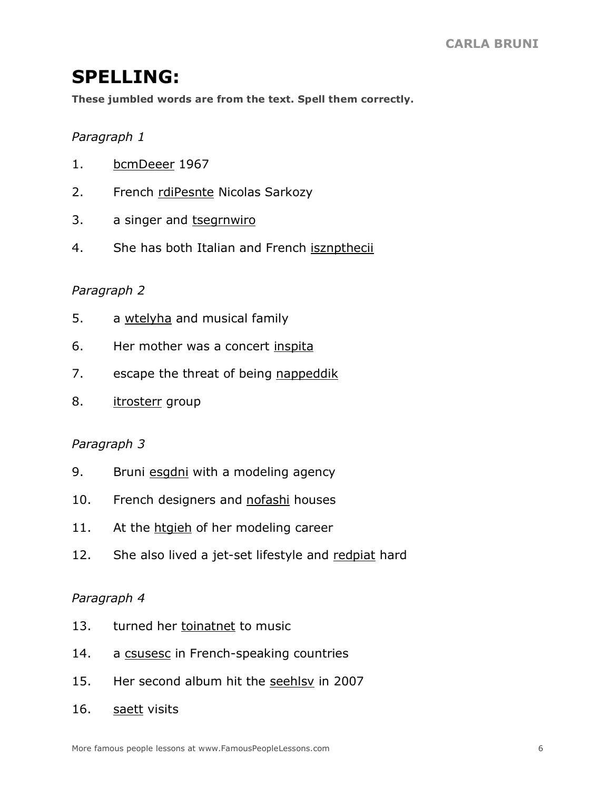## **SPELLING:**

**These jumbled words are from the text. Spell them correctly.**

#### *Paragraph 1*

- 1. bcmDeeer 1967
- 2. French rdiPesnte Nicolas Sarkozy
- 3. a singer and tsegrnwiro
- 4. She has both Italian and French isznpthecii

#### *Paragraph 2*

- 5. a wtelyha and musical family
- 6. Her mother was a concert inspita
- 7. escape the threat of being nappeddik
- 8. itrosterr group

#### *Paragraph 3*

- 9. Bruni esgdni with a modeling agency
- 10. French designers and nofashi houses
- 11. At the htgieh of her modeling career
- 12. She also lived a jet-set lifestyle and redpiat hard

#### *Paragraph 4*

- 13. turned her toinatnet to music
- 14. a csusesc in French-speaking countries
- 15. Her second album hit the seehlsy in 2007
- 16. saett visits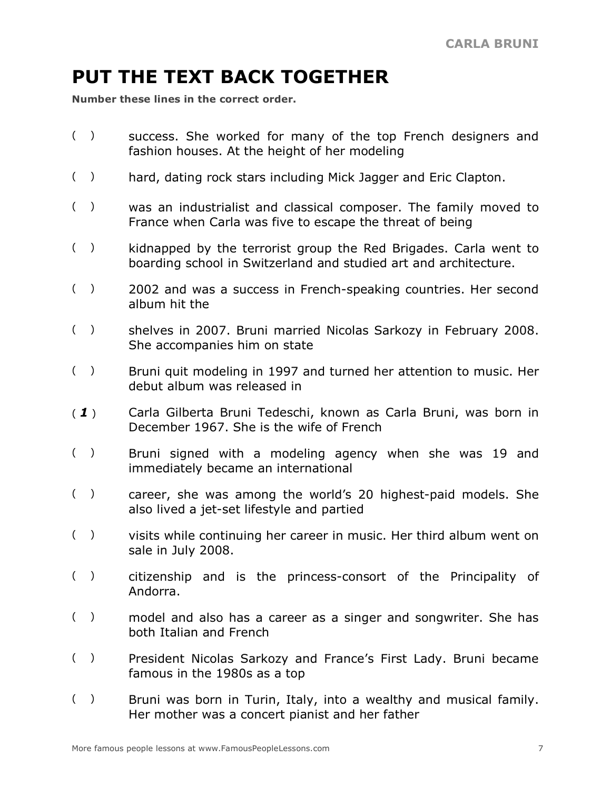# **PUT THE TEXT BACK TOGETHER**

**Number these lines in the correct order.**

- ( ) success. She worked for many of the top French designers and fashion houses. At the height of her modeling
- () hard, dating rock stars including Mick Jagger and Eric Clapton.
- ( ) was an industrialist and classical composer. The family moved to France when Carla was five to escape the threat of being
- ( ) kidnapped by the terrorist group the Red Brigades. Carla went to boarding school in Switzerland and studied art and architecture.
- ( ) 2002 and was a success in French-speaking countries. Her second album hit the
- ( ) shelves in 2007. Bruni married Nicolas Sarkozy in February 2008. She accompanies him on state
- ( ) Bruni quit modeling in 1997 and turned her attention to music. Her debut album was released in
- ( *1* ) Carla Gilberta Bruni Tedeschi, known as Carla Bruni, was born in December 1967. She is the wife of French
- ( ) Bruni signed with a modeling agency when she was 19 and immediately became an international
- ( ) career, she was among the world's 20 highest-paid models. She also lived a jet-set lifestyle and partied
- ( ) visits while continuing her career in music. Her third album went on sale in July 2008.
- ( ) citizenship and is the princess-consort of the Principality of Andorra.
- ( ) model and also has a career as a singer and songwriter. She has both Italian and French
- ( ) President Nicolas Sarkozy and France's First Lady. Bruni became famous in the 1980s as a top
- ( ) Bruni was born in Turin, Italy, into a wealthy and musical family. Her mother was a concert pianist and her father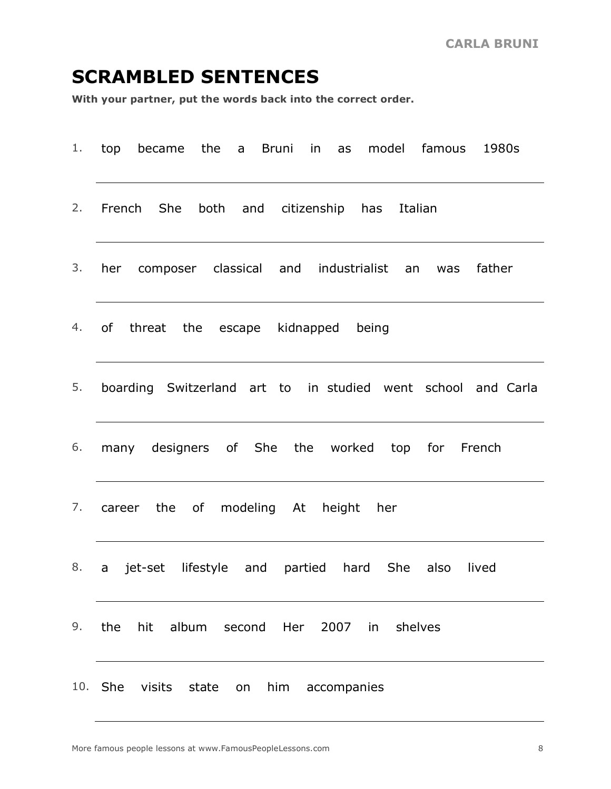## **SCRAMBLED SENTENCES**

**With your partner, put the words back into the correct order.**

|    | 1. top became the a Bruni in as model famous 1980s           |
|----|--------------------------------------------------------------|
| 2. | French She both and citizenship has Italian                  |
| 3. | her composer classical and industrialist an was<br>father    |
| 4. | of<br>threat the escape kidnapped being                      |
| 5. | boarding Switzerland art to in studied went school and Carla |
| 6. | many designers of She the worked top for French              |
| 7. | career the of modeling At height her                         |
| 8. | a jet-set lifestyle and partied hard She also lived          |
|    | 9. the<br>album<br>Her 2007 in<br>shelves<br>hit<br>second   |
|    | 10. She<br>visits<br>state<br>him<br>on<br>accompanies       |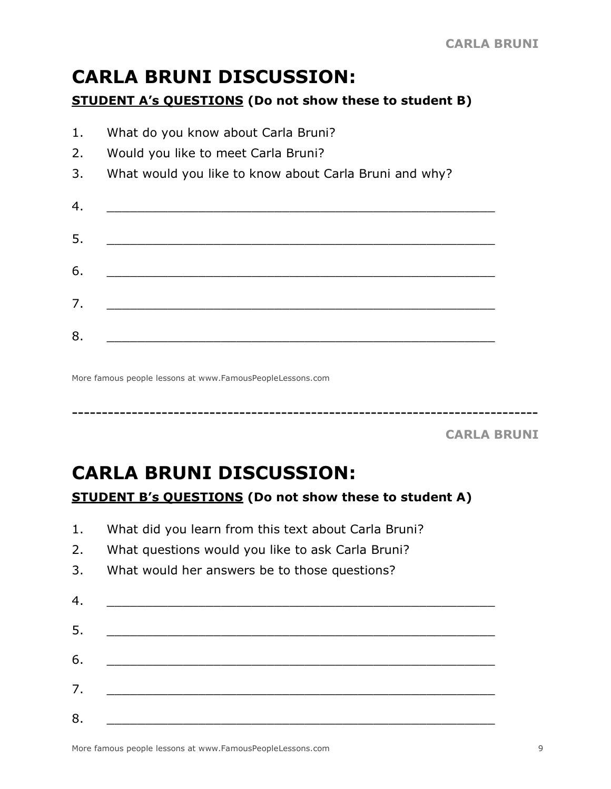# **CARLA BRUNI DISCUSSION:**

### **STUDENT A's QUESTIONS (Do not show these to student B)**

| 1.               | What do you know about Carla Bruni?                    |
|------------------|--------------------------------------------------------|
| 2.               | Would you like to meet Carla Bruni?                    |
| 3.               | What would you like to know about Carla Bruni and why? |
| $\overline{4}$ . |                                                        |
| 5.               |                                                        |
| 6.               |                                                        |
| 7.               |                                                        |
| 8.               |                                                        |

------------------------------------------------------------------------------

More famous people lessons at www.FamousPeopleLessons.com

**CARLA BRUNI**

# **CARLA BRUNI DISCUSSION: STUDENT B's QUESTIONS (Do not show these to student A)**

- 1. What did you learn from this text about Carla Bruni?
- 2. What questions would you like to ask Carla Bruni?
- 3. What would her answers be to those questions?

| 4. |  |  |
|----|--|--|
| 5. |  |  |
| 6. |  |  |
| 7. |  |  |
| 8. |  |  |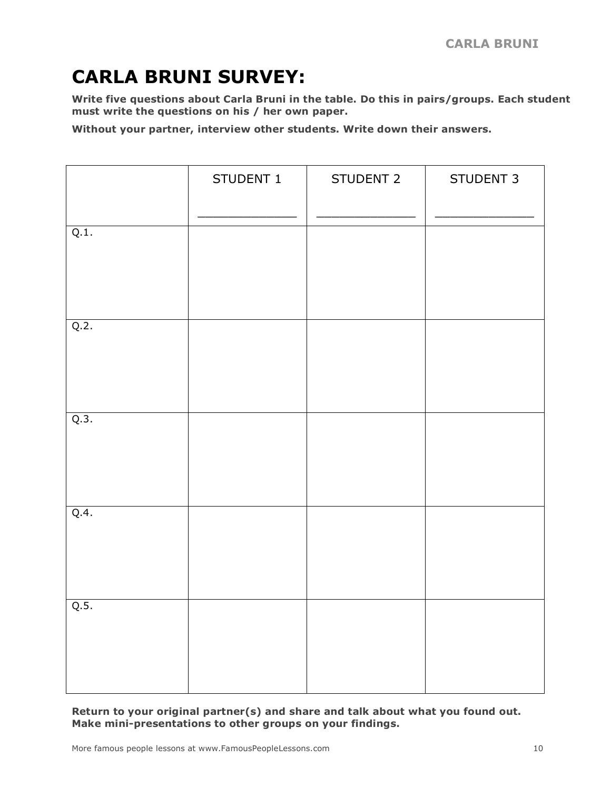# **CARLA BRUNI SURVEY:**

**Write five questions about Carla Bruni in the table. Do this in pairs/groups. Each student must write the questions on his / her own paper.**

**Without your partner, interview other students. Write down their answers.**

|      | STUDENT 1 | STUDENT 2 | STUDENT 3 |
|------|-----------|-----------|-----------|
| Q.1. |           |           |           |
| Q.2. |           |           |           |
| Q.3. |           |           |           |
| Q.4. |           |           |           |
| Q.5. |           |           |           |

**Return to your original partner(s) and share and talk about what you found out. Make mini-presentations to other groups on your findings.**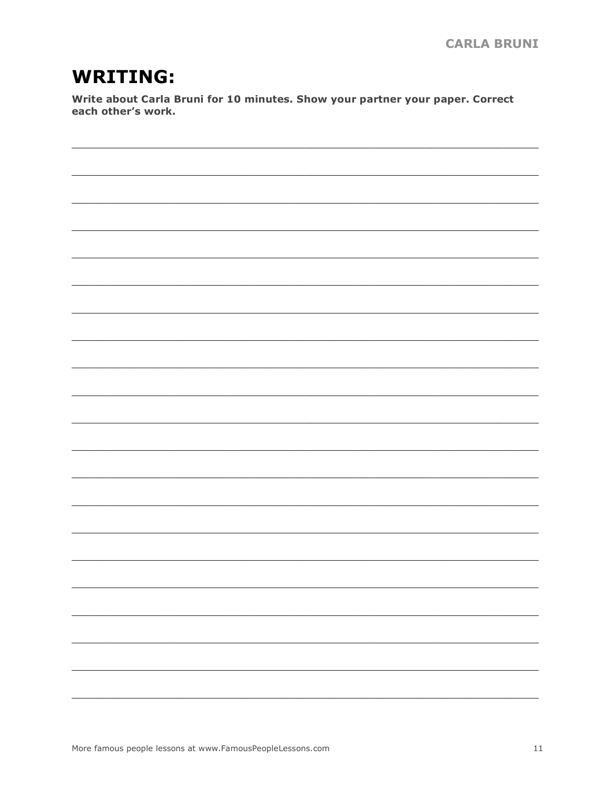## **WRITING:**

Write about Carla Bruni for 10 minutes. Show your partner your paper. Correct each other's work.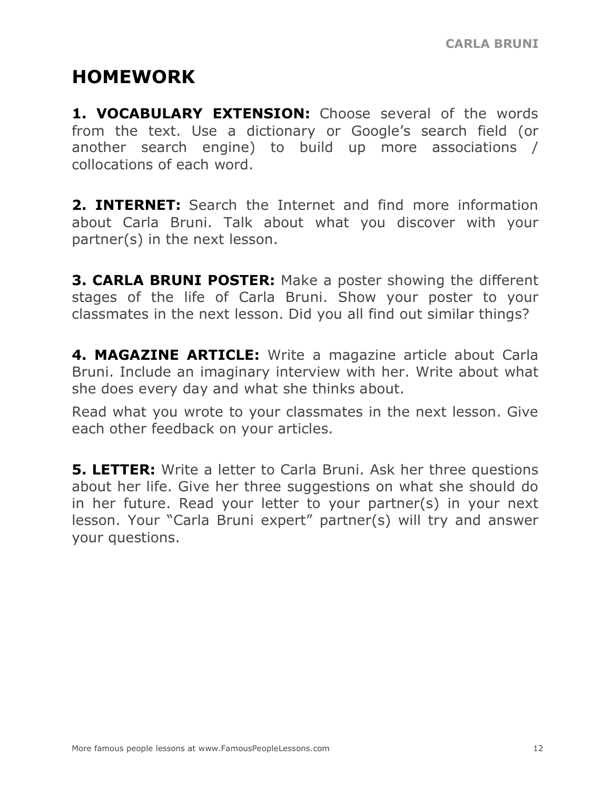## **HOMEWORK**

**1. VOCABULARY EXTENSION:** Choose several of the words from the text. Use a dictionary or Google's search field (or another search engine) to build up more associations / collocations of each word.

**2. INTERNET:** Search the Internet and find more information about Carla Bruni. Talk about what you discover with your partner(s) in the next lesson.

**3. CARLA BRUNI POSTER:** Make a poster showing the different stages of the life of Carla Bruni. Show your poster to your classmates in the next lesson. Did you all find out similar things?

**4. MAGAZINE ARTICLE:** Write a magazine article about Carla Bruni. Include an imaginary interview with her. Write about what she does every day and what she thinks about.

Read what you wrote to your classmates in the next lesson. Give each other feedback on your articles.

**5. LETTER:** Write a letter to Carla Bruni. Ask her three questions about her life. Give her three suggestions on what she should do in her future. Read your letter to your partner(s) in your next lesson. Your "Carla Bruni expert" partner(s) will try and answer your questions.